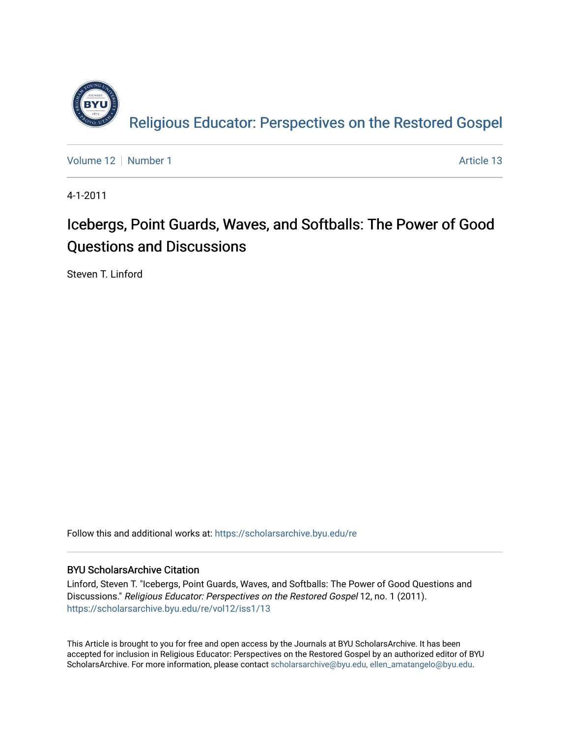

[Volume 12](https://scholarsarchive.byu.edu/re/vol12) [Number 1](https://scholarsarchive.byu.edu/re/vol12/iss1) Article 13

4-1-2011

## Icebergs, Point Guards, Waves, and Softballs: The Power of Good Questions and Discussions

Steven T. Linford

Follow this and additional works at: [https://scholarsarchive.byu.edu/re](https://scholarsarchive.byu.edu/re?utm_source=scholarsarchive.byu.edu%2Fre%2Fvol12%2Fiss1%2F13&utm_medium=PDF&utm_campaign=PDFCoverPages)

### BYU ScholarsArchive Citation

Linford, Steven T. "Icebergs, Point Guards, Waves, and Softballs: The Power of Good Questions and Discussions." Religious Educator: Perspectives on the Restored Gospel 12, no. 1 (2011). [https://scholarsarchive.byu.edu/re/vol12/iss1/13](https://scholarsarchive.byu.edu/re/vol12/iss1/13?utm_source=scholarsarchive.byu.edu%2Fre%2Fvol12%2Fiss1%2F13&utm_medium=PDF&utm_campaign=PDFCoverPages) 

This Article is brought to you for free and open access by the Journals at BYU ScholarsArchive. It has been accepted for inclusion in Religious Educator: Perspectives on the Restored Gospel by an authorized editor of BYU ScholarsArchive. For more information, please contact [scholarsarchive@byu.edu, ellen\\_amatangelo@byu.edu.](mailto:scholarsarchive@byu.edu,%20ellen_amatangelo@byu.edu)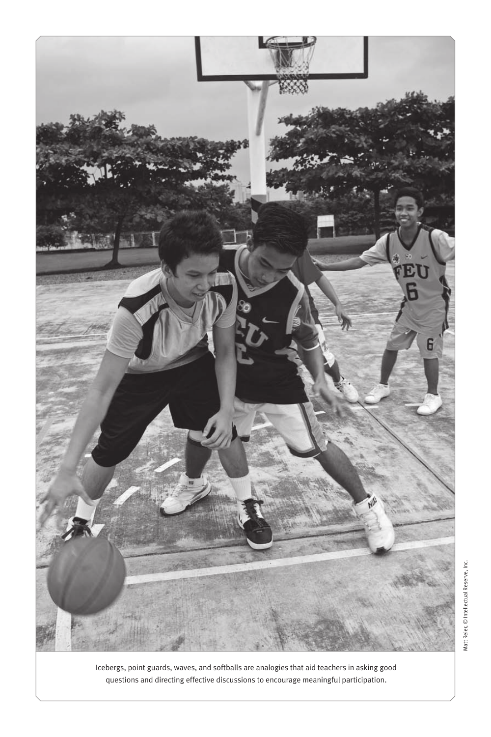

Icebergs, point guards, waves, and softballs are analogies that aid teachers in asking good questions and directing effective discussions to encourage meaningful participation.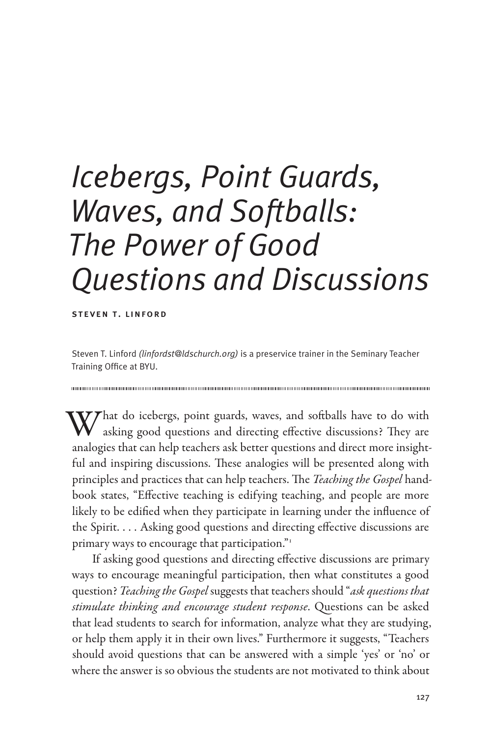# *Icebergs, Point Guards, Waves, and Softballs: The Power of Good Questions and Discussions*

steven t. linford

Steven T. Linford *(linfordst@ldschurch.org)* is a preservice trainer in the Seminary Teacher Training Office at BYU.

What do icebergs, point guards, waves, and softballs have to do with asking good questions and directing effective discussions? They are analogies that can help teachers ask better questions and direct more insightful and inspiring discussions. These analogies will be presented along with principles and practices that can help teachers. The *Teaching the Gospel* handbook states, "Effective teaching is edifying teaching, and people are more likely to be edified when they participate in learning under the influence of the Spirit. . . . Asking good questions and directing effective discussions are primary ways to encourage that participation."<sup>1</sup>

If asking good questions and directing effective discussions are primary ways to encourage meaningful participation, then what constitutes a good question? *Teaching the Gospel* suggests that teachers should "*ask questions that stimulate thinking and encourage student response*. Questions can be asked that lead students to search for information, analyze what they are studying, or help them apply it in their own lives." Furthermore it suggests, "Teachers should avoid questions that can be answered with a simple 'yes' or 'no' or where the answer is so obvious the students are not motivated to think about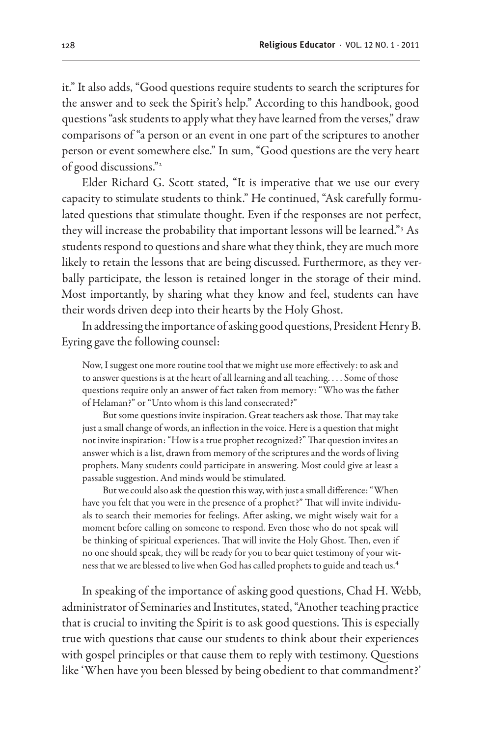it." It also adds, "Good questions require students to search the scriptures for the answer and to seek the Spirit's help." According to this handbook, good questions "ask students to apply what they have learned from the verses," draw comparisons of "a person or an event in one part of the scriptures to another person or event somewhere else." In sum, "Good questions are the very heart of good discussions."<sup>2</sup>

Elder Richard G. Scott stated, "It is imperative that we use our every capacity to stimulate students to think." He continued, "Ask carefully formulated questions that stimulate thought. Even if the responses are not perfect, they will increase the probability that important lessons will be learned."<sup>3</sup> As students respond to questions and share what they think, they are much more likely to retain the lessons that are being discussed. Furthermore, as they verbally participate, the lesson is retained longer in the storage of their mind. Most importantly, by sharing what they know and feel, students can have their words driven deep into their hearts by the Holy Ghost.

In addressing the importance of asking good questions, President Henry B. Eyring gave the following counsel:

Now, I suggest one more routine tool that we might use more effectively: to ask and to answer questions is at the heart of all learning and all teaching. . . . Some of those questions require only an answer of fact taken from memory: "Who was the father of Helaman?" or "Unto whom is this land consecrated?"

But some questions invite inspiration. Great teachers ask those. That may take just a small change of words, an inflection in the voice. Here is a question that might not invite inspiration: "How is a true prophet recognized?" That question invites an answer which is a list, drawn from memory of the scriptures and the words of living prophets. Many students could participate in answering. Most could give at least a passable suggestion. And minds would be stimulated.

But we could also ask the question this way, with just a small difference: "When have you felt that you were in the presence of a prophet?" That will invite individuals to search their memories for feelings. After asking, we might wisely wait for a moment before calling on someone to respond. Even those who do not speak will be thinking of spiritual experiences. That will invite the Holy Ghost. Then, even if no one should speak, they will be ready for you to bear quiet testimony of your witness that we are blessed to live when God has called prophets to guide and teach us.4

In speaking of the importance of asking good questions, Chad H. Webb, administrator of Seminaries and Institutes, stated, "Another teaching practice that is crucial to inviting the Spirit is to ask good questions. This is especially true with questions that cause our students to think about their experiences with gospel principles or that cause them to reply with testimony. Questions like 'When have you been blessed by being obedient to that commandment?'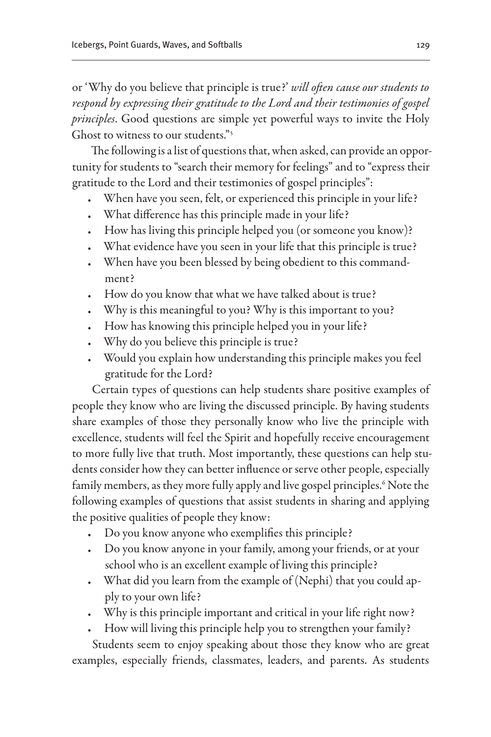or 'Why do you believe that principle is true?' *will often cause our students to respond by expressing their gratitude to the Lord and their testimonies of gospel principles*. Good questions are simple yet powerful ways to invite the Holy Ghost to witness to our students."<sup>5</sup>

The following is a list of questions that, when asked, can provide an opportunity for students to "search their memory for feelings" and to "express their gratitude to the Lord and their testimonies of gospel principles":

- When have you seen, felt, or experienced this principle in your life?
- What difference has this principle made in your life?
- • How has living this principle helped you (or someone you know)?
- What evidence have you seen in your life that this principle is true?
- When have you been blessed by being obedient to this commandment?
- How do you know that what we have talked about is true?
- Why is this meaningful to you? Why is this important to you?
- How has knowing this principle helped you in your life?
- Why do you believe this principle is true?
- • Would you explain how understanding this principle makes you feel gratitude for the Lord?

Certain types of questions can help students share positive examples of people they know who are living the discussed principle. By having students share examples of those they personally know who live the principle with excellence, students will feel the Spirit and hopefully receive encouragement to more fully live that truth. Most importantly, these questions can help students consider how they can better influence or serve other people, especially family members, as they more fully apply and live gospel principles.<sup>6</sup> Note the following examples of questions that assist students in sharing and applying the positive qualities of people they know:

- Do you know anyone who exemplifies this principle?
- Do you know anyone in your family, among your friends, or at your school who is an excellent example of living this principle?
- What did you learn from the example of (Nephi) that you could apply to your own life?
- Why is this principle important and critical in your life right now?
- How will living this principle help you to strengthen your family?

Students seem to enjoy speaking about those they know who are great examples, especially friends, classmates, leaders, and parents. As students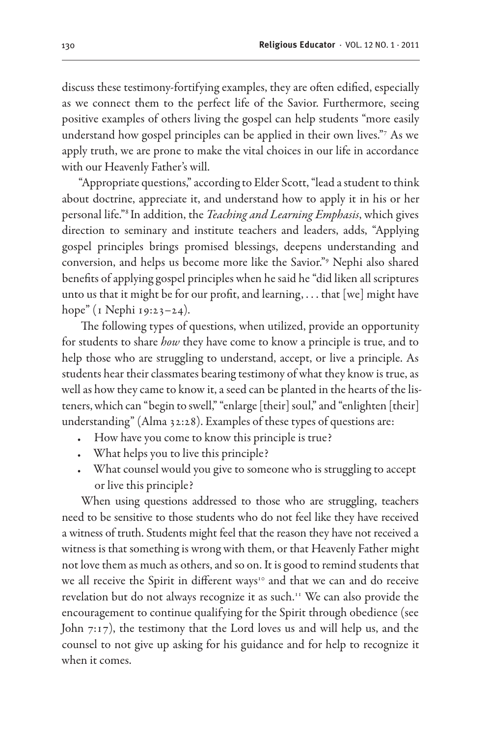discuss these testimony-fortifying examples, they are often edified, especially as we connect them to the perfect life of the Savior. Furthermore, seeing positive examples of others living the gospel can help students "more easily understand how gospel principles can be applied in their own lives."7 As we apply truth, we are prone to make the vital choices in our life in accordance with our Heavenly Father's will.

"Appropriate questions," according to Elder Scott, "lead a student to think about doctrine, appreciate it, and understand how to apply it in his or her personal life."8 In addition, the *Teaching and Learning Emphasis*, which gives direction to seminary and institute teachers and leaders, adds, "Applying gospel principles brings promised blessings, deepens understanding and conversion, and helps us become more like the Savior."9 Nephi also shared benefits of applying gospel principles when he said he "did liken all scriptures unto us that it might be for our profit, and learning, . . . that [we] might have hope" (1 Nephi 19:23–24).

The following types of questions, when utilized, provide an opportunity for students to share *how* they have come to know a principle is true, and to help those who are struggling to understand, accept, or live a principle. As students hear their classmates bearing testimony of what they know is true, as well as how they came to know it, a seed can be planted in the hearts of the listeners, which can "begin to swell," "enlarge [their] soul," and "enlighten [their] understanding" (Alma 32:28). Examples of these types of questions are:

- How have you come to know this principle is true?
- What helps you to live this principle?
- • What counsel would you give to someone who is struggling to accept or live this principle?

When using questions addressed to those who are struggling, teachers need to be sensitive to those students who do not feel like they have received a witness of truth. Students might feel that the reason they have not received a witness is that something is wrong with them, or that Heavenly Father might not love them as much as others, and so on. It is good to remind students that we all receive the Spirit in different ways<sup>10</sup> and that we can and do receive revelation but do not always recognize it as such.11 We can also provide the encouragement to continue qualifying for the Spirit through obedience (see John 7:17), the testimony that the Lord loves us and will help us, and the counsel to not give up asking for his guidance and for help to recognize it when it comes.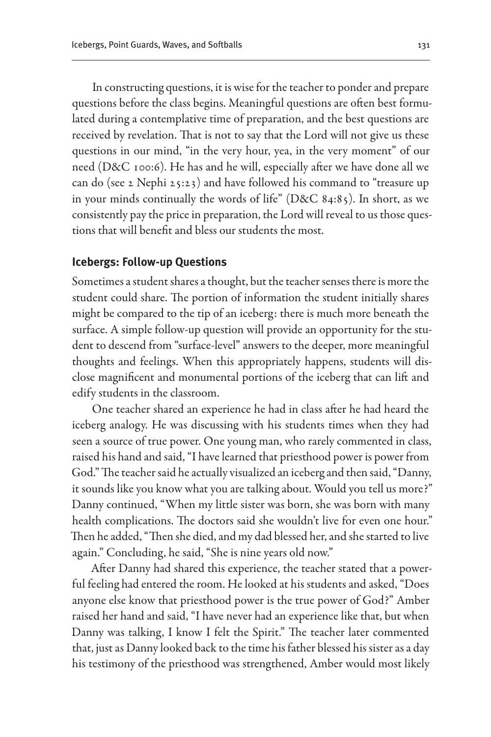In constructing questions, it is wise for the teacher to ponder and prepare questions before the class begins. Meaningful questions are often best formulated during a contemplative time of preparation, and the best questions are received by revelation. That is not to say that the Lord will not give us these questions in our mind, "in the very hour, yea, in the very moment" of our need (D&C 100:6). He has and he will, especially after we have done all we can do (see 2 Nephi 25:23) and have followed his command to "treasure up in your minds continually the words of life" (D&C 84:85). In short, as we consistently pay the price in preparation, the Lord will reveal to us those questions that will benefit and bless our students the most.

#### **Icebergs: Follow-up Questions**

Sometimes a student shares a thought, but the teacher senses there is more the student could share. The portion of information the student initially shares might be compared to the tip of an iceberg: there is much more beneath the surface. A simple follow-up question will provide an opportunity for the student to descend from "surface-level" answers to the deeper, more meaningful thoughts and feelings. When this appropriately happens, students will disclose magnificent and monumental portions of the iceberg that can lift and edify students in the classroom.

One teacher shared an experience he had in class after he had heard the iceberg analogy. He was discussing with his students times when they had seen a source of true power. One young man, who rarely commented in class, raised his hand and said, "I have learned that priesthood power is power from God." The teacher said he actually visualized an iceberg and then said, "Danny, it sounds like you know what you are talking about. Would you tell us more?" Danny continued, "When my little sister was born, she was born with many health complications. The doctors said she wouldn't live for even one hour." Then he added, "Then she died, and my dad blessed her, and she started to live again." Concluding, he said, "She is nine years old now."

After Danny had shared this experience, the teacher stated that a powerful feeling had entered the room. He looked at his students and asked, "Does anyone else know that priesthood power is the true power of God?" Amber raised her hand and said, "I have never had an experience like that, but when Danny was talking, I know I felt the Spirit." The teacher later commented that, just as Danny looked back to the time his father blessed his sister as a day his testimony of the priesthood was strengthened, Amber would most likely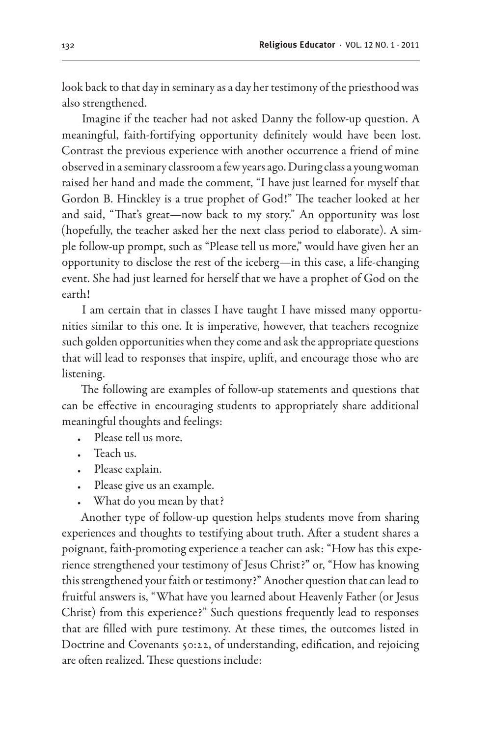look back to that day in seminary as a day her testimony of the priesthood was also strengthened.

Imagine if the teacher had not asked Danny the follow-up question. A meaningful, faith-fortifying opportunity definitely would have been lost. Contrast the previous experience with another occurrence a friend of mine observed in a seminary classroom a few years ago. During class a young woman raised her hand and made the comment, "I have just learned for myself that Gordon B. Hinckley is a true prophet of God!" The teacher looked at her and said, "That's great—now back to my story." An opportunity was lost (hopefully, the teacher asked her the next class period to elaborate). A simple follow-up prompt, such as "Please tell us more," would have given her an opportunity to disclose the rest of the iceberg—in this case, a life-changing event. She had just learned for herself that we have a prophet of God on the earth!

I am certain that in classes I have taught I have missed many opportunities similar to this one. It is imperative, however, that teachers recognize such golden opportunities when they come and ask the appropriate questions that will lead to responses that inspire, uplift, and encourage those who are listening.

The following are examples of follow-up statements and questions that can be effective in encouraging students to appropriately share additional meaningful thoughts and feelings:

- Please tell us more.
- Teach us.
- Please explain.
- Please give us an example.
- What do you mean by that?

Another type of follow-up question helps students move from sharing experiences and thoughts to testifying about truth. After a student shares a poignant, faith-promoting experience a teacher can ask: "How has this experience strengthened your testimony of Jesus Christ?" or, "How has knowing this strengthened your faith or testimony?" Another question that can lead to fruitful answers is, "What have you learned about Heavenly Father (or Jesus Christ) from this experience?" Such questions frequently lead to responses that are filled with pure testimony. At these times, the outcomes listed in Doctrine and Covenants 50:22, of understanding, edification, and rejoicing are often realized. These questions include: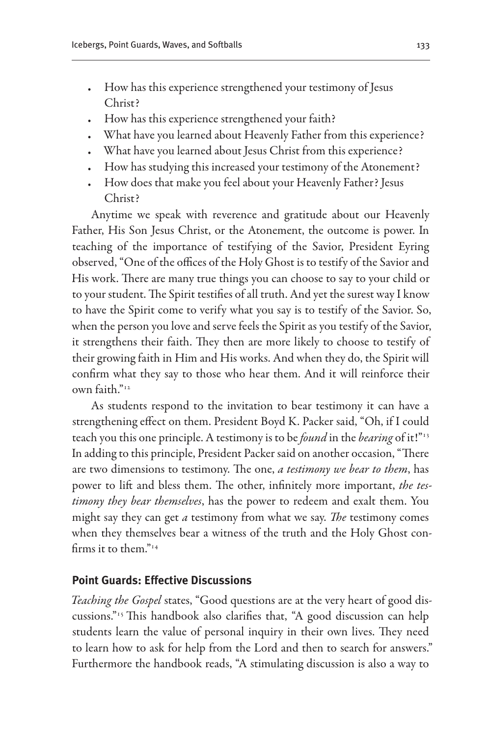- How has this experience strengthened your testimony of Jesus Christ?
- How has this experience strengthened your faith?
- What have you learned about Heavenly Father from this experience?
- What have you learned about Jesus Christ from this experience?
- How has studying this increased your testimony of the Atonement?
- How does that make you feel about your Heavenly Father? Jesus Christ?

Anytime we speak with reverence and gratitude about our Heavenly Father, His Son Jesus Christ, or the Atonement, the outcome is power. In teaching of the importance of testifying of the Savior, President Eyring observed, "One of the offices of the Holy Ghost is to testify of the Savior and His work. There are many true things you can choose to say to your child or to your student. The Spirit testifies of all truth. And yet the surest way I know to have the Spirit come to verify what you say is to testify of the Savior. So, when the person you love and serve feels the Spirit as you testify of the Savior, it strengthens their faith. They then are more likely to choose to testify of their growing faith in Him and His works. And when they do, the Spirit will confirm what they say to those who hear them. And it will reinforce their own faith $"$ <sup>12</sup>

As students respond to the invitation to bear testimony it can have a strengthening effect on them. President Boyd K. Packer said, "Oh, if I could teach you this one principle. A testimony is to be *found* in the *bearing* of it!"13 In adding to this principle, President Packer said on another occasion, "There are two dimensions to testimony. The one, *a testimony we bear to them*, has power to lift and bless them. The other, infinitely more important, *the testimony they bear themselves*, has the power to redeem and exalt them. You might say they can get *a* testimony from what we say. *The* testimony comes when they themselves bear a witness of the truth and the Holy Ghost confirms it to them." $14$ 

#### **Point Guards: Effective Discussions**

*Teaching the Gospel* states, "Good questions are at the very heart of good discussions."15 This handbook also clarifies that, "A good discussion can help students learn the value of personal inquiry in their own lives. They need to learn how to ask for help from the Lord and then to search for answers." Furthermore the handbook reads, "A stimulating discussion is also a way to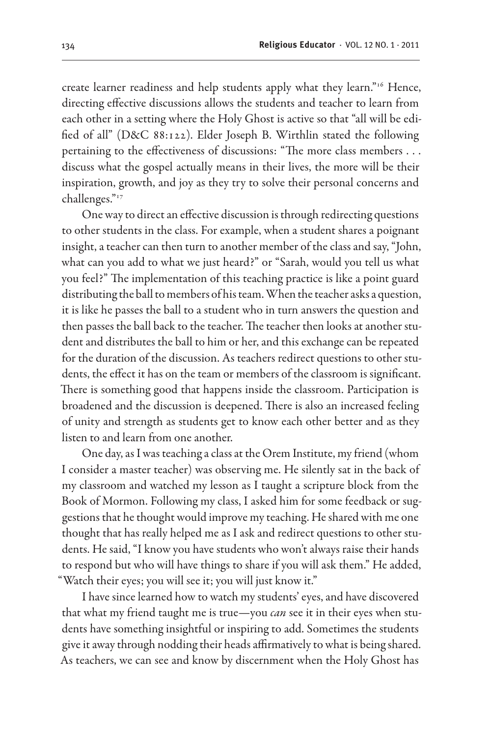create learner readiness and help students apply what they learn."16 Hence, directing effective discussions allows the students and teacher to learn from each other in a setting where the Holy Ghost is active so that "all will be edified of all" (D&C 88:122). Elder Joseph B. Wirthlin stated the following pertaining to the effectiveness of discussions: "The more class members . . . discuss what the gospel actually means in their lives, the more will be their inspiration, growth, and joy as they try to solve their personal concerns and challenges."17

One way to direct an effective discussion is through redirecting questions to other students in the class. For example, when a student shares a poignant insight, a teacher can then turn to another member of the class and say, "John, what can you add to what we just heard?" or "Sarah, would you tell us what you feel?" The implementation of this teaching practice is like a point guard distributing the ball to members of his team. When the teacher asks a question, it is like he passes the ball to a student who in turn answers the question and then passes the ball back to the teacher. The teacher then looks at another student and distributes the ball to him or her, and this exchange can be repeated for the duration of the discussion. As teachers redirect questions to other students, the effect it has on the team or members of the classroom is significant. There is something good that happens inside the classroom. Participation is broadened and the discussion is deepened. There is also an increased feeling of unity and strength as students get to know each other better and as they listen to and learn from one another.

One day, as I was teaching a class at the Orem Institute, my friend (whom I consider a master teacher) was observing me. He silently sat in the back of my classroom and watched my lesson as I taught a scripture block from the Book of Mormon. Following my class, I asked him for some feedback or suggestions that he thought would improve my teaching. He shared with me one thought that has really helped me as I ask and redirect questions to other students. He said, "I know you have students who won't always raise their hands to respond but who will have things to share if you will ask them." He added, "Watch their eyes; you will see it; you will just know it."

I have since learned how to watch my students' eyes, and have discovered that what my friend taught me is true—you *can* see it in their eyes when students have something insightful or inspiring to add. Sometimes the students give it away through nodding their heads affirmatively to what is being shared. As teachers, we can see and know by discernment when the Holy Ghost has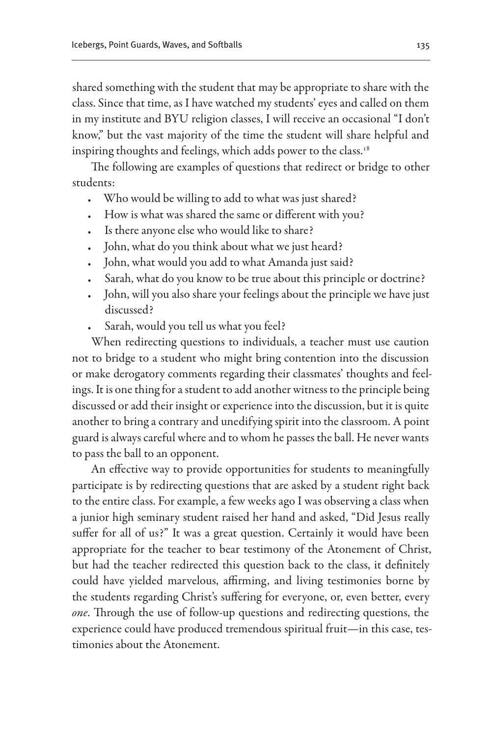shared something with the student that may be appropriate to share with the class. Since that time, as I have watched my students' eyes and called on them in my institute and BYU religion classes, I will receive an occasional "I don't know," but the vast majority of the time the student will share helpful and inspiring thoughts and feelings, which adds power to the class.<sup>18</sup>

The following are examples of questions that redirect or bridge to other students:

- Who would be willing to add to what was just shared?
- How is what was shared the same or different with you?
- Is there anyone else who would like to share?
- John, what do you think about what we just heard?
- John, what would you add to what Amanda just said?
- Sarah, what do you know to be true about this principle or doctrine?
- • John, will you also share your feelings about the principle we have just discussed?
- Sarah, would you tell us what you feel?

When redirecting questions to individuals, a teacher must use caution not to bridge to a student who might bring contention into the discussion or make derogatory comments regarding their classmates' thoughts and feelings. It is one thing for a student to add another witness to the principle being discussed or add their insight or experience into the discussion, but it is quite another to bring a contrary and unedifying spirit into the classroom. A point guard is always careful where and to whom he passes the ball. He never wants to pass the ball to an opponent.

An effective way to provide opportunities for students to meaningfully participate is by redirecting questions that are asked by a student right back to the entire class. For example, a few weeks ago I was observing a class when a junior high seminary student raised her hand and asked, "Did Jesus really suffer for all of us?" It was a great question. Certainly it would have been appropriate for the teacher to bear testimony of the Atonement of Christ, but had the teacher redirected this question back to the class, it definitely could have yielded marvelous, affirming, and living testimonies borne by the students regarding Christ's suffering for everyone, or, even better, every *one*. Through the use of follow-up questions and redirecting questions, the experience could have produced tremendous spiritual fruit—in this case, testimonies about the Atonement.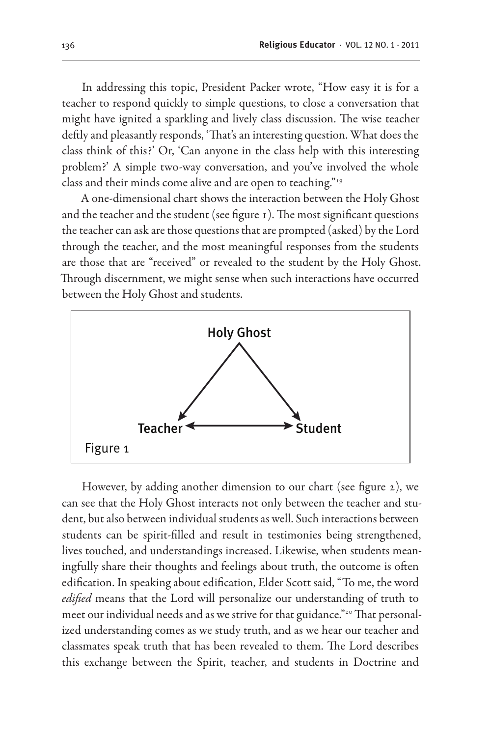In addressing this topic, President Packer wrote, "How easy it is for a teacher to respond quickly to simple questions, to close a conversation that might have ignited a sparkling and lively class discussion. The wise teacher deftly and pleasantly responds, 'That's an interesting question. What does the class think of this?' Or, 'Can anyone in the class help with this interesting problem?' A simple two-way conversation, and you've involved the whole class and their minds come alive and are open to teaching."19

A one-dimensional chart shows the interaction between the Holy Ghost and the teacher and the student (see figure 1). The most significant questions the teacher can ask are those questions that are prompted (asked) by the Lord through the teacher, and the most meaningful responses from the students are those that are "received" or revealed to the student by the Holy Ghost. Through discernment, we might sense when such interactions have occurred between the Holy Ghost and students.



However, by adding another dimension to our chart (see figure 2), we can see that the Holy Ghost interacts not only between the teacher and student, but also between individual students as well. Such interactions between students can be spirit-filled and result in testimonies being strengthened, lives touched, and understandings increased. Likewise, when students meaningfully share their thoughts and feelings about truth, the outcome is often edification. In speaking about edification, Elder Scott said, "To me, the word *edified* means that the Lord will personalize our understanding of truth to meet our individual needs and as we strive for that guidance."<sup>20</sup> That personalized understanding comes as we study truth, and as we hear our teacher and classmates speak truth that has been revealed to them. The Lord describes this exchange between the Spirit, teacher, and students in Doctrine and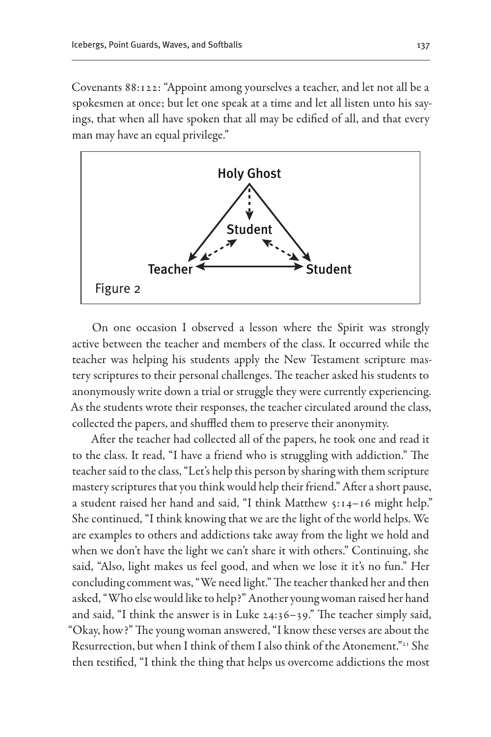Covenants 88:122: "Appoint among yourselves a teacher, and let not all be a spokesmen at once; but let one speak at a time and let all listen unto his sayings, that when all have spoken that all may be edified of all, and that every man may have an equal privilege."



On one occasion I observed a lesson where the Spirit was strongly active between the teacher and members of the class. It occurred while the teacher was helping his students apply the New Testament scripture mastery scriptures to their personal challenges. The teacher asked his students to anonymously write down a trial or struggle they were currently experiencing. As the students wrote their responses, the teacher circulated around the class, collected the papers, and shuffled them to preserve their anonymity.

After the teacher had collected all of the papers, he took one and read it to the class. It read, "I have a friend who is struggling with addiction." The teacher said to the class, "Let's help this person by sharing with them scripture mastery scriptures that you think would help their friend." After a short pause, a student raised her hand and said, "I think Matthew 5:14–16 might help." She continued, "I think knowing that we are the light of the world helps. We are examples to others and addictions take away from the light we hold and when we don't have the light we can't share it with others." Continuing, she said, "Also, light makes us feel good, and when we lose it it's no fun." Her concluding comment was, "We need light." The teacher thanked her and then asked, "Who else would like to help?" Another young woman raised her hand and said, "I think the answer is in Luke 24:36–39." The teacher simply said, "Okay, how?" The young woman answered, "I know these verses are about the Resurrection, but when I think of them I also think of the Atonement."21 She then testified, "I think the thing that helps us overcome addictions the most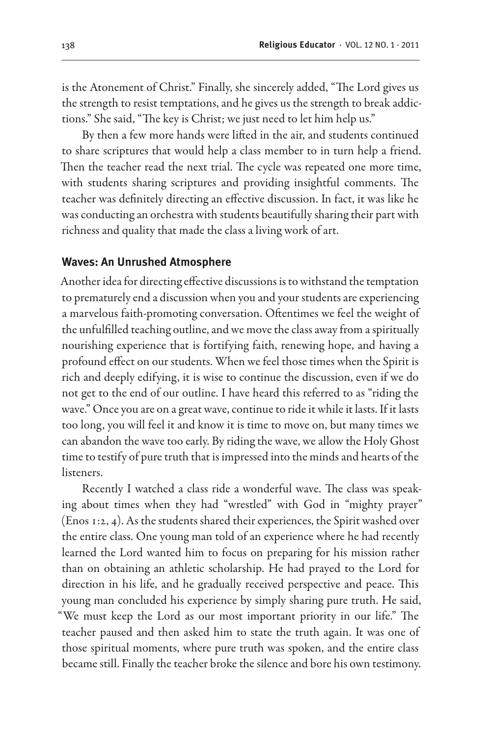is the Atonement of Christ." Finally, she sincerely added, "The Lord gives us the strength to resist temptations, and he gives us the strength to break addictions." She said, "The key is Christ; we just need to let him help us."

By then a few more hands were lifted in the air, and students continued to share scriptures that would help a class member to in turn help a friend. Then the teacher read the next trial. The cycle was repeated one more time, with students sharing scriptures and providing insightful comments. The teacher was definitely directing an effective discussion. In fact, it was like he was conducting an orchestra with students beautifully sharing their part with richness and quality that made the class a living work of art.

#### **Waves: An Unrushed Atmosphere**

Another idea for directing effective discussions is to withstand the temptation to prematurely end a discussion when you and your students are experiencing a marvelous faith-promoting conversation. Oftentimes we feel the weight of the unfulfilled teaching outline, and we move the class away from a spiritually nourishing experience that is fortifying faith, renewing hope, and having a profound effect on our students. When we feel those times when the Spirit is rich and deeply edifying, it is wise to continue the discussion, even if we do not get to the end of our outline. I have heard this referred to as "riding the wave." Once you are on a great wave, continue to ride it while it lasts. If it lasts too long, you will feel it and know it is time to move on, but many times we can abandon the wave too early. By riding the wave, we allow the Holy Ghost time to testify of pure truth that is impressed into the minds and hearts of the listeners.

Recently I watched a class ride a wonderful wave. The class was speaking about times when they had "wrestled" with God in "mighty prayer" (Enos 1:2, 4). As the students shared their experiences, the Spirit washed over the entire class. One young man told of an experience where he had recently learned the Lord wanted him to focus on preparing for his mission rather than on obtaining an athletic scholarship. He had prayed to the Lord for direction in his life, and he gradually received perspective and peace. This young man concluded his experience by simply sharing pure truth. He said, "We must keep the Lord as our most important priority in our life." The teacher paused and then asked him to state the truth again. It was one of those spiritual moments, where pure truth was spoken, and the entire class became still. Finally the teacher broke the silence and bore his own testimony.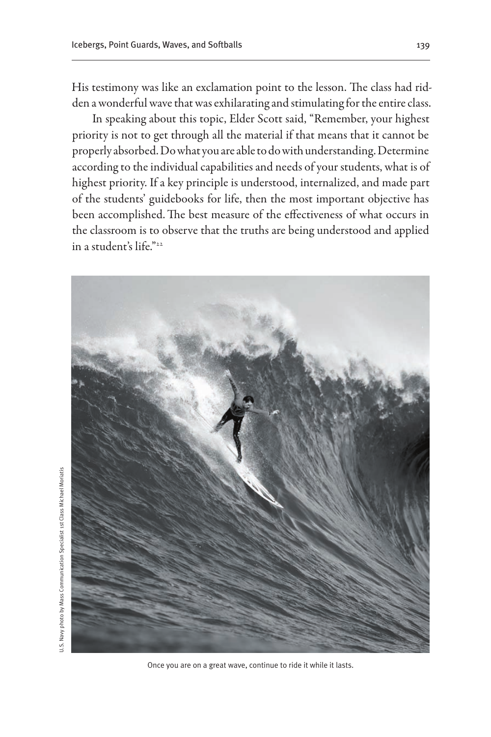His testimony was like an exclamation point to the lesson. The class had ridden a wonderful wave that was exhilarating and stimulating for the entire class.

In speaking about this topic, Elder Scott said, "Remember, your highest priority is not to get through all the material if that means that it cannot be properly absorbed. Do what you are able to do with understanding. Determine according to the individual capabilities and needs of your students, what is of highest priority. If a key principle is understood, internalized, and made part of the students' guidebooks for life, then the most important objective has been accomplished.The best measure of the effectiveness of what occurs in the classroom is to observe that the truths are being understood and applied in a student's life."22



Once you are on a great wave, continue to ride it while it lasts.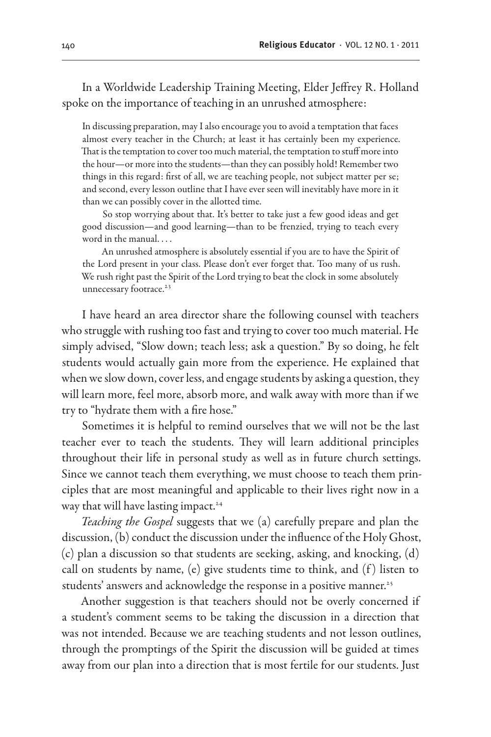In a Worldwide Leadership Training Meeting, Elder Jeffrey R. Holland spoke on the importance of teaching in an unrushed atmosphere:

In discussing preparation, may I also encourage you to avoid a temptation that faces almost every teacher in the Church; at least it has certainly been my experience. That is the temptation to cover too much material, the temptation to stuff more into the hour—or more into the students—than they can possibly hold! Remember two things in this regard: first of all, we are teaching people, not subject matter per se; and second, every lesson outline that I have ever seen will inevitably have more in it than we can possibly cover in the allotted time.

So stop worrying about that. It's better to take just a few good ideas and get good discussion—and good learning—than to be frenzied, trying to teach every word in the manual. . . .

An unrushed atmosphere is absolutely essential if you are to have the Spirit of the Lord present in your class. Please don't ever forget that. Too many of us rush. We rush right past the Spirit of the Lord trying to beat the clock in some absolutely unnecessary footrace.<sup>23</sup>

I have heard an area director share the following counsel with teachers who struggle with rushing too fast and trying to cover too much material. He simply advised, "Slow down; teach less; ask a question." By so doing, he felt students would actually gain more from the experience. He explained that when we slow down, cover less, and engage students by asking a question, they will learn more, feel more, absorb more, and walk away with more than if we try to "hydrate them with a fire hose."

Sometimes it is helpful to remind ourselves that we will not be the last teacher ever to teach the students. They will learn additional principles throughout their life in personal study as well as in future church settings. Since we cannot teach them everything, we must choose to teach them principles that are most meaningful and applicable to their lives right now in a way that will have lasting impact.<sup>24</sup>

*Teaching the Gospel* suggests that we (a) carefully prepare and plan the discussion, (b) conduct the discussion under the influence of the Holy Ghost, (c) plan a discussion so that students are seeking, asking, and knocking, (d) call on students by name, (e) give students time to think, and  $(f)$  listen to students' answers and acknowledge the response in a positive manner.<sup>25</sup>

Another suggestion is that teachers should not be overly concerned if a student's comment seems to be taking the discussion in a direction that was not intended. Because we are teaching students and not lesson outlines, through the promptings of the Spirit the discussion will be guided at times away from our plan into a direction that is most fertile for our students. Just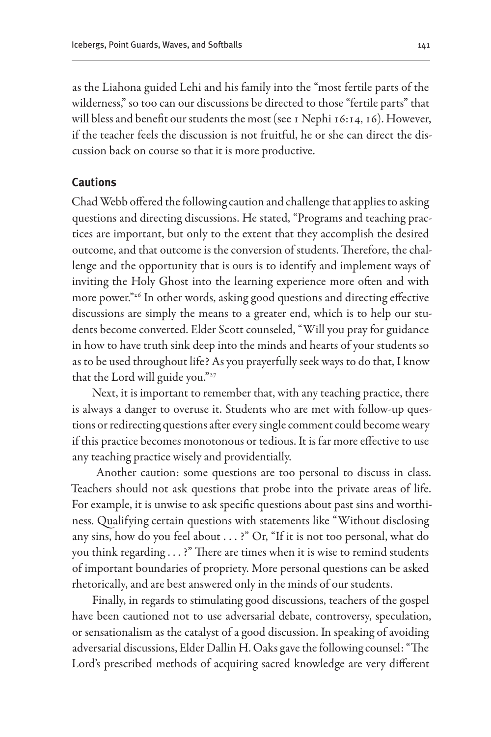as the Liahona guided Lehi and his family into the "most fertile parts of the wilderness," so too can our discussions be directed to those "fertile parts" that will bless and benefit our students the most (see 1 Nephi 16:14, 16). However, if the teacher feels the discussion is not fruitful, he or she can direct the discussion back on course so that it is more productive.

#### **Cautions**

Chad Webb offered the following caution and challenge that applies to asking questions and directing discussions. He stated, "Programs and teaching practices are important, but only to the extent that they accomplish the desired outcome, and that outcome is the conversion of students. Therefore, the challenge and the opportunity that is ours is to identify and implement ways of inviting the Holy Ghost into the learning experience more often and with more power."26 In other words, asking good questions and directing effective discussions are simply the means to a greater end, which is to help our students become converted. Elder Scott counseled, "Will you pray for guidance in how to have truth sink deep into the minds and hearts of your students so as to be used throughout life? As you prayerfully seek ways to do that, I know that the Lord will guide you." $27$ 

Next, it is important to remember that, with any teaching practice, there is always a danger to overuse it. Students who are met with follow-up questions or redirecting questions after every single comment could become weary if this practice becomes monotonous or tedious. It is far more effective to use any teaching practice wisely and providentially.

 Another caution: some questions are too personal to discuss in class. Teachers should not ask questions that probe into the private areas of life. For example, it is unwise to ask specific questions about past sins and worthiness. Qualifying certain questions with statements like "Without disclosing any sins, how do you feel about . . . ?" Or, "If it is not too personal, what do you think regarding . . . ?" There are times when it is wise to remind students of important boundaries of propriety. More personal questions can be asked rhetorically, and are best answered only in the minds of our students.

Finally, in regards to stimulating good discussions, teachers of the gospel have been cautioned not to use adversarial debate, controversy, speculation, or sensationalism as the catalyst of a good discussion. In speaking of avoiding adversarial discussions, Elder Dallin H. Oaks gave the following counsel: "The Lord's prescribed methods of acquiring sacred knowledge are very different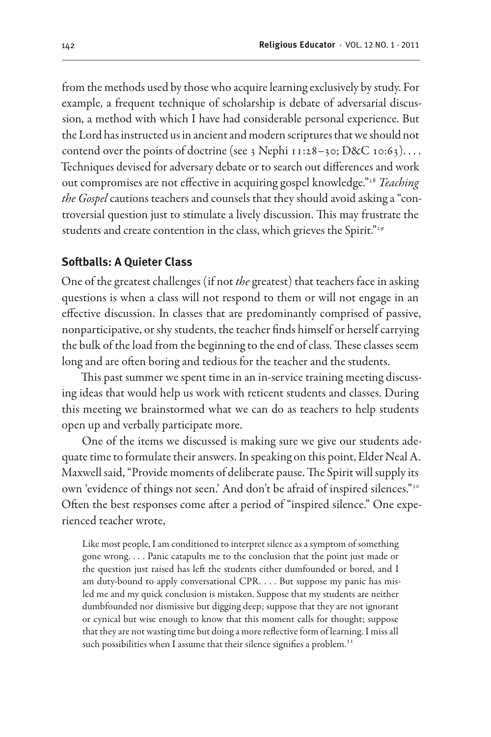from the methods used by those who acquire learning exclusively by study. For example, a frequent technique of scholarship is debate of adversarial discussion, a method with which I have had considerable personal experience. But the Lord has instructed us in ancient and modern scriptures that we should not contend over the points of doctrine (see 3 Nephi 11:28-30; D&C 10:63).... Techniques devised for adversary debate or to search out differences and work out compromises are not effective in acquiring gospel knowledge."28 *Teaching the Gospel* cautions teachers and counsels that they should avoid asking a "controversial question just to stimulate a lively discussion. This may frustrate the students and create contention in the class, which grieves the Spirit."<sup>29</sup>

#### **Softballs: A Quieter Class**

One of the greatest challenges (if not *the* greatest) that teachers face in asking questions is when a class will not respond to them or will not engage in an effective discussion. In classes that are predominantly comprised of passive, nonparticipative, or shy students, the teacher finds himself or herself carrying the bulk of the load from the beginning to the end of class. These classes seem long and are often boring and tedious for the teacher and the students.

This past summer we spent time in an in-service training meeting discussing ideas that would help us work with reticent students and classes. During this meeting we brainstormed what we can do as teachers to help students open up and verbally participate more.

One of the items we discussed is making sure we give our students adequate time to formulate their answers. In speaking on this point, Elder Neal A. Maxwell said, "Provide moments of deliberate pause. The Spirit will supply its own 'evidence of things not seen.' And don't be afraid of inspired silences."30 Often the best responses come after a period of "inspired silence." One experienced teacher wrote,

Like most people, I am conditioned to interpret silence as a symptom of something gone wrong. . . . Panic catapults me to the conclusion that the point just made or the question just raised has left the students either dumfounded or bored, and I am duty-bound to apply conversational CPR. . . . But suppose my panic has misled me and my quick conclusion is mistaken. Suppose that my students are neither dumbfounded nor dismissive but digging deep; suppose that they are not ignorant or cynical but wise enough to know that this moment calls for thought; suppose that they are not wasting time but doing a more reflective form of learning. I miss all such possibilities when I assume that their silence signifies a problem.<sup>31</sup>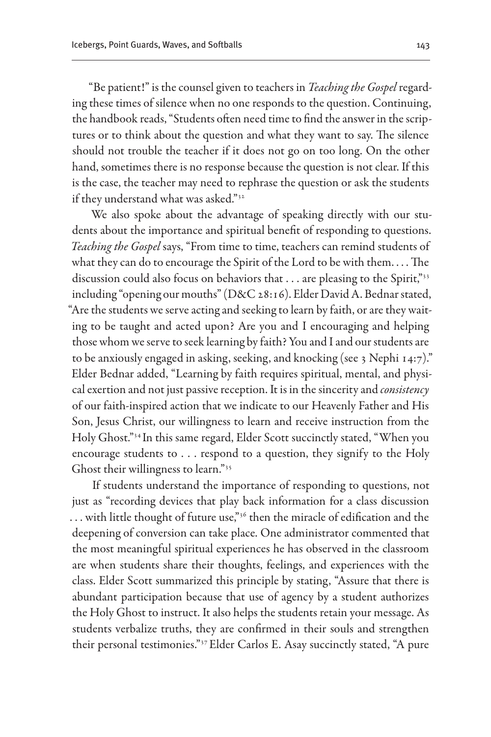"Be patient!" is the counsel given to teachers in *Teaching the Gospel* regarding these times of silence when no one responds to the question. Continuing, the handbook reads, "Students often need time to find the answer in the scriptures or to think about the question and what they want to say. The silence should not trouble the teacher if it does not go on too long. On the other hand, sometimes there is no response because the question is not clear. If this is the case, the teacher may need to rephrase the question or ask the students if they understand what was asked."32

We also spoke about the advantage of speaking directly with our students about the importance and spiritual benefit of responding to questions. *Teaching the Gospel* says, "From time to time, teachers can remind students of what they can do to encourage the Spirit of the Lord to be with them. . . . The discussion could also focus on behaviors that . . . are pleasing to the Spirit,"33 including "opening our mouths" (D&C 28:16). Elder David A. Bednar stated, "Are the students we serve acting and seeking to learn by faith, or are they waiting to be taught and acted upon? Are you and I encouraging and helping those whom we serve to seek learning by faith? You and I and our students are to be anxiously engaged in asking, seeking, and knocking (see 3 Nephi 14:7)." Elder Bednar added, "Learning by faith requires spiritual, mental, and physical exertion and not just passive reception. It is in the sincerity and *consistency*  of our faith-inspired action that we indicate to our Heavenly Father and His Son, Jesus Christ, our willingness to learn and receive instruction from the Holy Ghost."34 In this same regard, Elder Scott succinctly stated, "When you encourage students to . . . respond to a question, they signify to the Holy Ghost their willingness to learn."35

If students understand the importance of responding to questions, not just as "recording devices that play back information for a class discussion ... with little thought of future use,"<sup>36</sup> then the miracle of edification and the deepening of conversion can take place. One administrator commented that the most meaningful spiritual experiences he has observed in the classroom are when students share their thoughts, feelings, and experiences with the class. Elder Scott summarized this principle by stating, "Assure that there is abundant participation because that use of agency by a student authorizes the Holy Ghost to instruct. It also helps the students retain your message. As students verbalize truths, they are confirmed in their souls and strengthen their personal testimonies."37 Elder Carlos E. Asay succinctly stated, "A pure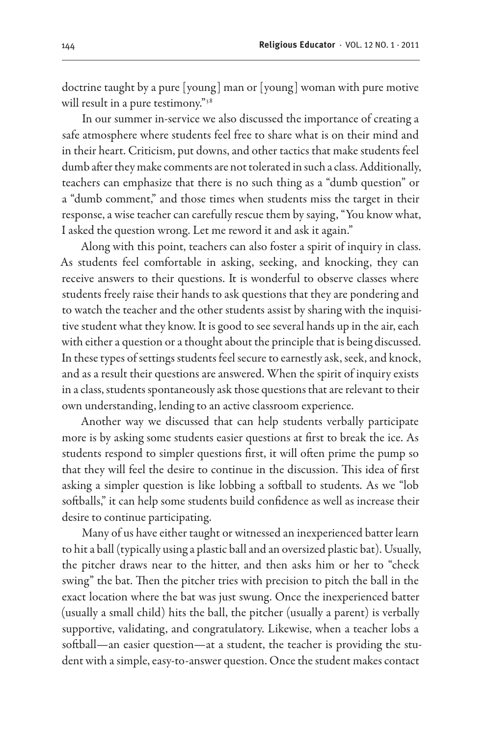doctrine taught by a pure [young] man or [young] woman with pure motive will result in a pure testimony."<sup>38</sup>

In our summer in-service we also discussed the importance of creating a safe atmosphere where students feel free to share what is on their mind and in their heart. Criticism, put downs, and other tactics that make students feel dumb after they make comments are not tolerated in such a class. Additionally, teachers can emphasize that there is no such thing as a "dumb question" or a "dumb comment," and those times when students miss the target in their response, a wise teacher can carefully rescue them by saying, "You know what, I asked the question wrong. Let me reword it and ask it again."

Along with this point, teachers can also foster a spirit of inquiry in class. As students feel comfortable in asking, seeking, and knocking, they can receive answers to their questions. It is wonderful to observe classes where students freely raise their hands to ask questions that they are pondering and to watch the teacher and the other students assist by sharing with the inquisitive student what they know. It is good to see several hands up in the air, each with either a question or a thought about the principle that is being discussed. In these types of settings students feel secure to earnestly ask, seek, and knock, and as a result their questions are answered. When the spirit of inquiry exists in a class, students spontaneously ask those questions that are relevant to their own understanding, lending to an active classroom experience.

Another way we discussed that can help students verbally participate more is by asking some students easier questions at first to break the ice. As students respond to simpler questions first, it will often prime the pump so that they will feel the desire to continue in the discussion. This idea of first asking a simpler question is like lobbing a softball to students. As we "lob softballs," it can help some students build confidence as well as increase their desire to continue participating.

Many of us have either taught or witnessed an inexperienced batter learn to hit a ball (typically using a plastic ball and an oversized plastic bat). Usually, the pitcher draws near to the hitter, and then asks him or her to "check swing" the bat. Then the pitcher tries with precision to pitch the ball in the exact location where the bat was just swung. Once the inexperienced batter (usually a small child) hits the ball, the pitcher (usually a parent) is verbally supportive, validating, and congratulatory. Likewise, when a teacher lobs a softball—an easier question—at a student, the teacher is providing the student with a simple, easy-to-answer question. Once the student makes contact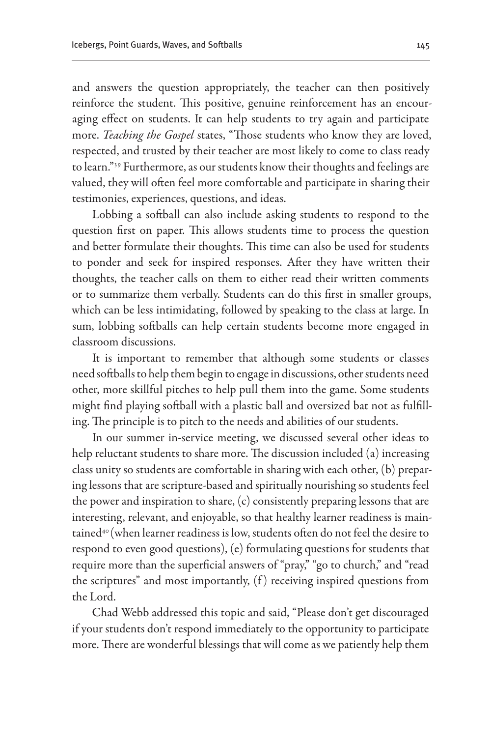and answers the question appropriately, the teacher can then positively reinforce the student. This positive, genuine reinforcement has an encouraging effect on students. It can help students to try again and participate more. *Teaching the Gospel* states, "Those students who know they are loved, respected, and trusted by their teacher are most likely to come to class ready to learn."39 Furthermore, as our students know their thoughts and feelings are valued, they will often feel more comfortable and participate in sharing their testimonies, experiences, questions, and ideas.

Lobbing a softball can also include asking students to respond to the question first on paper. This allows students time to process the question and better formulate their thoughts. This time can also be used for students to ponder and seek for inspired responses. After they have written their thoughts, the teacher calls on them to either read their written comments or to summarize them verbally. Students can do this first in smaller groups, which can be less intimidating, followed by speaking to the class at large. In sum, lobbing softballs can help certain students become more engaged in classroom discussions.

It is important to remember that although some students or classes need soft balls to help them begin to engage in discussions, other students need other, more skillful pitches to help pull them into the game. Some students might find playing softball with a plastic ball and oversized bat not as fulfilling. The principle is to pitch to the needs and abilities of our students.

In our summer in-service meeting, we discussed several other ideas to help reluctant students to share more. The discussion included (a) increasing class unity so students are comfortable in sharing with each other, (b) preparing lessons that are scripture-based and spiritually nourishing so students feel the power and inspiration to share, (c) consistently preparing lessons that are interesting, relevant, and enjoyable, so that healthy learner readiness is maintained<sup>40</sup> (when learner readiness is low, students often do not feel the desire to respond to even good questions), (e) formulating questions for students that require more than the superficial answers of "pray," "go to church," and "read the scriptures" and most importantly,  $(f)$  receiving inspired questions from the Lord.

Chad Webb addressed this topic and said, "Please don't get discouraged if your students don't respond immediately to the opportunity to participate more. There are wonderful blessings that will come as we patiently help them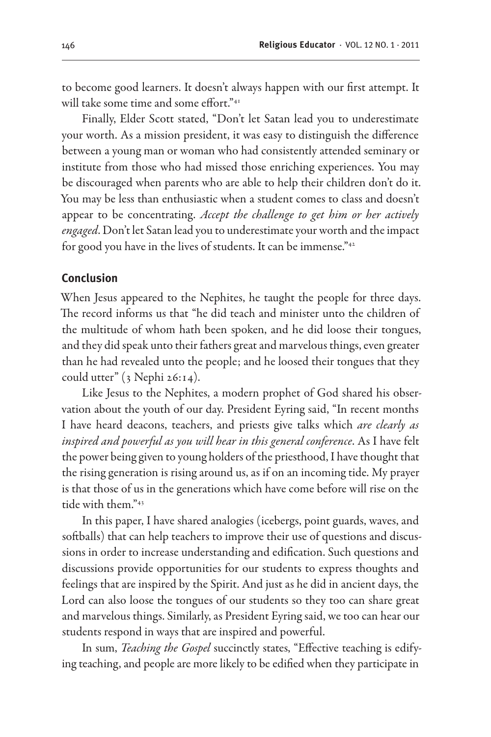to become good learners. It doesn't always happen with our first attempt. It will take some time and some effort."<sup>41</sup>

Finally, Elder Scott stated, "Don't let Satan lead you to underestimate your worth. As a mission president, it was easy to distinguish the difference between a young man or woman who had consistently attended seminary or institute from those who had missed those enriching experiences. You may be discouraged when parents who are able to help their children don't do it. You may be less than enthusiastic when a student comes to class and doesn't appear to be concentrating. *Accept the challenge to get him or her actively engaged*. Don't let Satan lead you to underestimate your worth and the impact for good you have in the lives of students. It can be immense."<sup>42</sup>

#### **Conclusion**

When Jesus appeared to the Nephites, he taught the people for three days. The record informs us that "he did teach and minister unto the children of the multitude of whom hath been spoken, and he did loose their tongues, and they did speak unto their fathers great and marvelous things, even greater than he had revealed unto the people; and he loosed their tongues that they could utter"  $(3 \text{ Nephi } 26:14)$ .

Like Jesus to the Nephites, a modern prophet of God shared his observation about the youth of our day. President Eyring said, "In recent months I have heard deacons, teachers, and priests give talks which *are clearly as inspired and powerful as you will hear in this general conference*. As I have felt the power being given to young holders of the priesthood, I have thought that the rising generation is rising around us, as if on an incoming tide. My prayer is that those of us in the generations which have come before will rise on the tide with them."43

In this paper, I have shared analogies (icebergs, point guards, waves, and softballs) that can help teachers to improve their use of questions and discussions in order to increase understanding and edification. Such questions and discussions provide opportunities for our students to express thoughts and feelings that are inspired by the Spirit. And just as he did in ancient days, the Lord can also loose the tongues of our students so they too can share great and marvelous things. Similarly, as President Eyring said, we too can hear our students respond in ways that are inspired and powerful.

In sum, *Teaching the Gospel* succinctly states, "Effective teaching is edifying teaching, and people are more likely to be edified when they participate in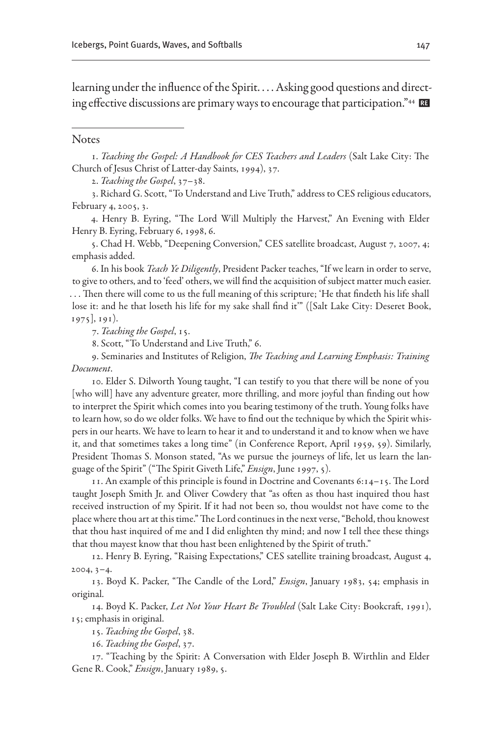learning under the influence of the Spirit. . . . Asking good questions and directing effective discussions are primary ways to encourage that participation."<sup>44</sup> RE

#### **Notes**

1. *Teaching the Gospel: A Handbook for CES Teachers and Leaders* (Salt Lake City: The Church of Jesus Christ of Latter-day Saints, 1994), 37.

2. *Teaching the Gospel*, 37–38.

3. Richard G. Scott, "To Understand and Live Truth,"address to CES religious educators, February 4, 2005, 3.

4. Henry B. Eyring, "The Lord Will Multiply the Harvest," An Evening with Elder Henry B. Eyring, February 6, 1998, 6.

5. Chad H. Webb, "Deepening Conversion," CES satellite broadcast, August 7, 2007, 4; emphasis added.

6. In his book *Teach Ye Diligently*, President Packer teaches, "If we learn in order to serve, to give to others, and to 'feed' others, we will find the acquisition of subject matter much easier. . . . Then there will come to us the full meaning of this scripture; 'He that findeth his life shall lose it: and he that loseth his life for my sake shall find it'" ([Salt Lake City: Deseret Book, 1975], 191).

7. *Teaching the Gospel*, 15.

8. Scott, "To Understand and Live Truth," 6.

9. Seminaries and Institutes of Religion, *The Teaching and Learning Emphasis: Training Document*.

10. Elder S. Dilworth Young taught, "I can testify to you that there will be none of you [who will] have any adventure greater, more thrilling, and more joyful than finding out how to interpret the Spirit which comes into you bearing testimony of the truth. Young folks have to learn how, so do we older folks. We have to find out the technique by which the Spirit whispers in our hearts. We have to learn to hear it and to understand it and to know when we have it, and that sometimes takes a long time" (in Conference Report, April 1959, 59). Similarly, President Thomas S. Monson stated, "As we pursue the journeys of life, let us learn the language of the Spirit" ("The Spirit Giveth Life," *Ensign*, June 1997, 5).

11. An example of this principle is found in Doctrine and Covenants  $6:14-15$ . The Lord taught Joseph Smith Jr. and Oliver Cowdery that "as often as thou hast inquired thou hast received instruction of my Spirit. If it had not been so, thou wouldst not have come to the place where thou art at this time." The Lord continues in the next verse, "Behold, thou knowest that thou hast inquired of me and I did enlighten thy mind; and now I tell thee these things that thou mayest know that thou hast been enlightened by the Spirit of truth."

12. Henry B. Eyring, "Raising Expectations," CES satellite training broadcast, August 4, 2004, 3–4.

13. Boyd K. Packer, "The Candle of the Lord," *Ensign*, January 1983, 54; emphasis in original.

14. Boyd K. Packer, *Let Not Your Heart Be Troubled* (Salt Lake City: Bookcraft, 1991), 15; emphasis in original.

15. *Teaching the Gospel*, 38.

16. *Teaching the Gospel*, 37.

17. "Teaching by the Spirit: A Conversation with Elder Joseph B. Wirthlin and Elder Gene R. Cook," *Ensign*, January 1989, 5.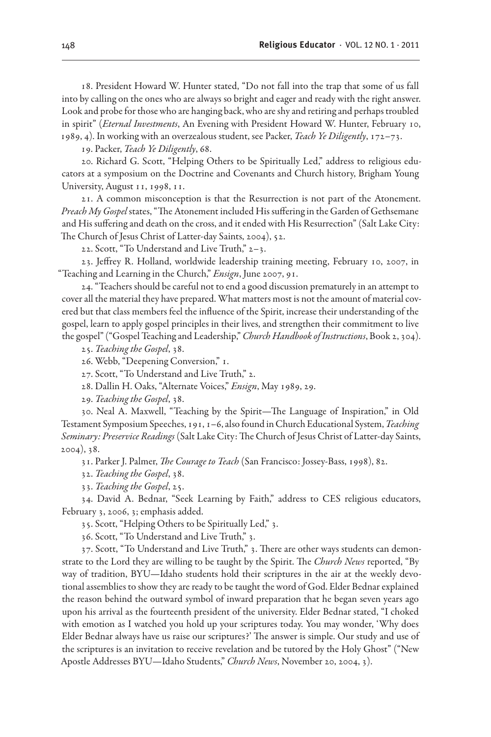18. President Howard W. Hunter stated, "Do not fall into the trap that some of us fall into by calling on the ones who are always so bright and eager and ready with the right answer. Look and probe for those who are hanging back, who are shy and retiring and perhaps troubled in spirit" (*Eternal Investments*, An Evening with President Howard W. Hunter, February 10, 1989, 4). In working with an overzealous student, see Packer, *Teach Ye Diligently*, 172–73.

19. Packer, *Teach Ye Diligently*, 68.

20. Richard G. Scott, "Helping Others to be Spiritually Led," address to religious educators at a symposium on the Doctrine and Covenants and Church history, Brigham Young University, August 11, 1998, 11.

21. A common misconception is that the Resurrection is not part of the Atonement. *Preach My Gospel* states, "The Atonement included His suffering in the Garden of Gethsemane and His suffering and death on the cross, and it ended with His Resurrection" (Salt Lake City: The Church of Jesus Christ of Latter-day Saints, 2004), 52.

22. Scott, "To Understand and Live Truth," 2–3.

23. Jeffrey R. Holland, worldwide leadership training meeting, February 10, 2007, in "Teaching and Learning in the Church," *Ensign*, June 2007, 91.

24. "Teachers should be careful not to end a good discussion prematurely in an attempt to cover all the material they have prepared. What matters most is not the amount of material covered but that class members feel the influence of the Spirit, increase their understanding of the gospel, learn to apply gospel principles in their lives, and strengthen their commitment to live the gospel" ("Gospel Teaching and Leadership," *Church Handbook of Instructions*, Book 2, 304).

25. *Teaching the Gospel*, 38.

26. Webb, "Deepening Conversion," 1.

27. Scott, "To Understand and Live Truth," 2.

28. Dallin H. Oaks, "Alternate Voices," *Ensign*, May 1989, 29.

29. *Teaching the Gospel*, 38.

30. Neal A. Maxwell, "Teaching by the Spirit—The Language of Inspiration," in Old Testament Symposium Speeches, 191, 1–6, also found in Church Educational System, *Teaching Seminary: Preservice Readings* (Salt Lake City: The Church of Jesus Christ of Latter-day Saints, 2004), 38.

31. Parker J. Palmer, *The Courage to Teach* (San Francisco: Jossey-Bass, 1998), 82.

32. *Teaching the Gospel*, 38.

33. *Teaching the Gospel*, 25.

34. David A. Bednar, "Seek Learning by Faith," address to CES religious educators, February 3, 2006, 3; emphasis added.

35. Scott, "Helping Others to be Spiritually Led," 3.

36. Scott, "To Understand and Live Truth," 3.

37. Scott, "To Understand and Live Truth," 3. There are other ways students can demonstrate to the Lord they are willing to be taught by the Spirit. The *Church News* reported, "By way of tradition, BYU—Idaho students hold their scriptures in the air at the weekly devotional assemblies to show they are ready to be taught the word of God. Elder Bednar explained the reason behind the outward symbol of inward preparation that he began seven years ago upon his arrival as the fourteenth president of the university. Elder Bednar stated, "I choked with emotion as I watched you hold up your scriptures today. You may wonder, 'Why does Elder Bednar always have us raise our scriptures?' The answer is simple. Our study and use of the scriptures is an invitation to receive revelation and be tutored by the Holy Ghost" ("New Apostle Addresses BYU—Idaho Students," *Church News*, November 20, 2004, 3).